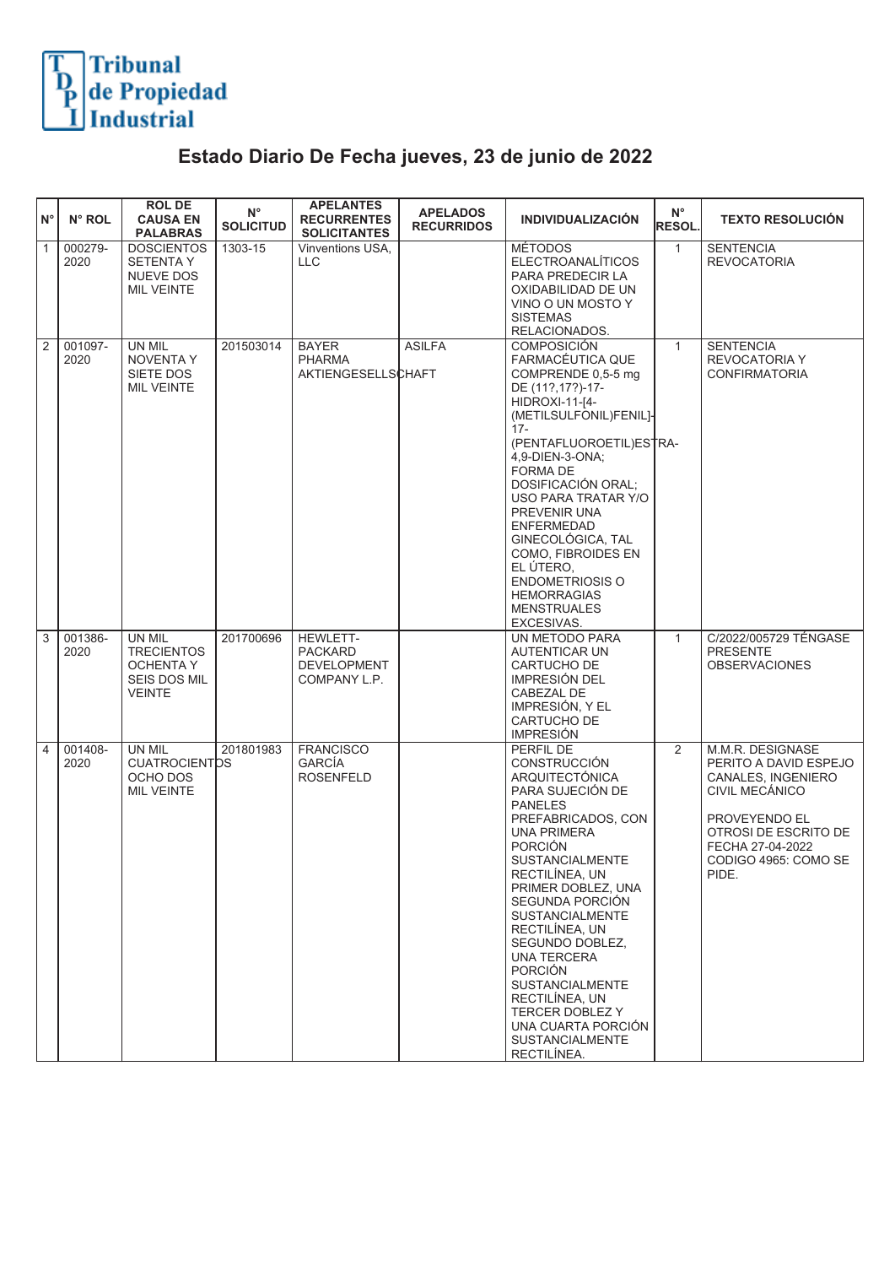

## **Estado Diario De Fecha jueves, 23 de junio de 2022**

| $N^{\circ}$    | N° ROL          | <b>ROL DE</b><br><b>CAUSA EN</b><br><b>PALABRAS</b>                              | $N^{\circ}$<br><b>SOLICITUD</b> | <b>APELANTES</b><br><b>RECURRENTES</b><br><b>SOLICITANTES</b>           | <b>APELADOS</b><br><b>RECURRIDOS</b> | <b>INDIVIDUALIZACIÓN</b>                                                                                                                                                                                                                                                                                                                                                                                                                                                  | $N^{\circ}$<br>RESOL. | <b>TEXTO RESOLUCIÓN</b>                                                                                                                                                         |
|----------------|-----------------|----------------------------------------------------------------------------------|---------------------------------|-------------------------------------------------------------------------|--------------------------------------|---------------------------------------------------------------------------------------------------------------------------------------------------------------------------------------------------------------------------------------------------------------------------------------------------------------------------------------------------------------------------------------------------------------------------------------------------------------------------|-----------------------|---------------------------------------------------------------------------------------------------------------------------------------------------------------------------------|
| $\overline{1}$ | 000279-<br>2020 | <b>DOSCIENTOS</b><br><b>SETENTAY</b><br>NUEVE DOS<br><b>MIL VEINTE</b>           | 1303-15                         | Vinventions USA.<br><b>LLC</b>                                          |                                      | <b>MÉTODOS</b><br><b>ELECTROANALÍTICOS</b><br>PARA PREDECIR LA<br>OXIDABILIDAD DE UN<br>VINO O UN MOSTO Y<br><b>SISTEMAS</b><br>RELACIONADOS.                                                                                                                                                                                                                                                                                                                             | $\mathbf{1}$          | <b>SENTENCIA</b><br><b>REVOCATORIA</b>                                                                                                                                          |
| $\sqrt{2}$     | 001097-<br>2020 | UN MIL<br><b>NOVENTA Y</b><br>SIETE DOS<br><b>MIL VEINTE</b>                     | 201503014                       | <b>BAYER</b><br><b>PHARMA</b><br><b>AKTIENGESELLSCHAFT</b>              | <b>ASILFA</b>                        | COMPOSICIÓN<br>FARMACÉUTICA QUE<br>COMPRENDE 0,5-5 mg<br>DE (11?, 17?)-17-<br>HIDROXI-11-[4-<br>(METILSULFONIL)FENIL]-<br>$17 -$<br>(PENTAFLUOROETIL)ESTRA-<br>4,9-DIEN-3-ONA;<br><b>FORMA DE</b><br>DOSIFICACIÓN ORAL:<br>USO PARA TRATAR Y/O<br>PREVENIR UNA<br><b>ENFERMEDAD</b><br>GINECOLÓGICA, TAL<br>COMO, FIBROIDES EN<br>EL ÚTERO.<br><b>ENDOMETRIOSIS O</b><br><b>HEMORRAGIAS</b><br><b>MENSTRUALES</b><br>EXCESIVAS.                                           | $\mathbf{1}$          | <b>SENTENCIA</b><br><b>REVOCATORIA Y</b><br><b>CONFIRMATORIA</b>                                                                                                                |
| 3              | 001386-<br>2020 | UN MIL<br><b>TRECIENTOS</b><br>OCHENTA Y<br><b>SEIS DOS MIL</b><br><b>VEINTE</b> | 201700696                       | <b>HEWLETT-</b><br><b>PACKARD</b><br><b>DEVELOPMENT</b><br>COMPANY L.P. |                                      | UN METODO PARA<br><b>AUTENTICAR UN</b><br>CARTUCHO DE<br><b>IMPRESIÓN DEL</b><br>CABEZAL DE<br>IMPRESIÓN, Y EL<br>CARTUCHO DE<br><b>IMPRESION</b>                                                                                                                                                                                                                                                                                                                         | $\mathbf{1}$          | C/2022/005729 TÉNGASE<br><b>PRESENTE</b><br><b>OBSERVACIONES</b>                                                                                                                |
| $\overline{4}$ | 001408-<br>2020 | UN MIL<br><b>CUATROCIENTOS</b><br>OCHO DOS<br><b>MIL VEINTE</b>                  | 201801983                       | <b>FRANCISCO</b><br><b>GARCÍA</b><br><b>ROSENFELD</b>                   |                                      | PERFIL DE<br>CONSTRUCCIÓN<br><b>ARQUITECTÓNICA</b><br>PARA SUJECIÓN DE<br><b>PANELES</b><br>PREFABRICADOS, CON<br><b>UNA PRIMERA</b><br><b>PORCIÓN</b><br><b>SUSTANCIALMENTE</b><br>RECTILINEA, UN<br>PRIMER DOBLEZ, UNA<br>SEGUNDA PORCIÓN<br><b>SUSTANCIALMENTE</b><br>RECTILÍNEA, UN<br>SEGUNDO DOBLEZ.<br>UNA TERCERA<br><b>PORCIÓN</b><br><b>SUSTANCIALMENTE</b><br>RECTILÍNEA, UN<br>TERCER DOBLEZ Y<br>UNA CUARTA PORCIÓN<br><b>SUSTANCIALMENTE</b><br>RECTILÍNEA. | 2                     | M.M.R. DESIGNASE<br>PERITO A DAVID ESPEJO<br>CANALES, INGENIERO<br>CIVIL MECÁNICO<br>PROVEYENDO EL<br>OTROSI DE ESCRITO DE<br>FECHA 27-04-2022<br>CODIGO 4965: COMO SE<br>PIDE. |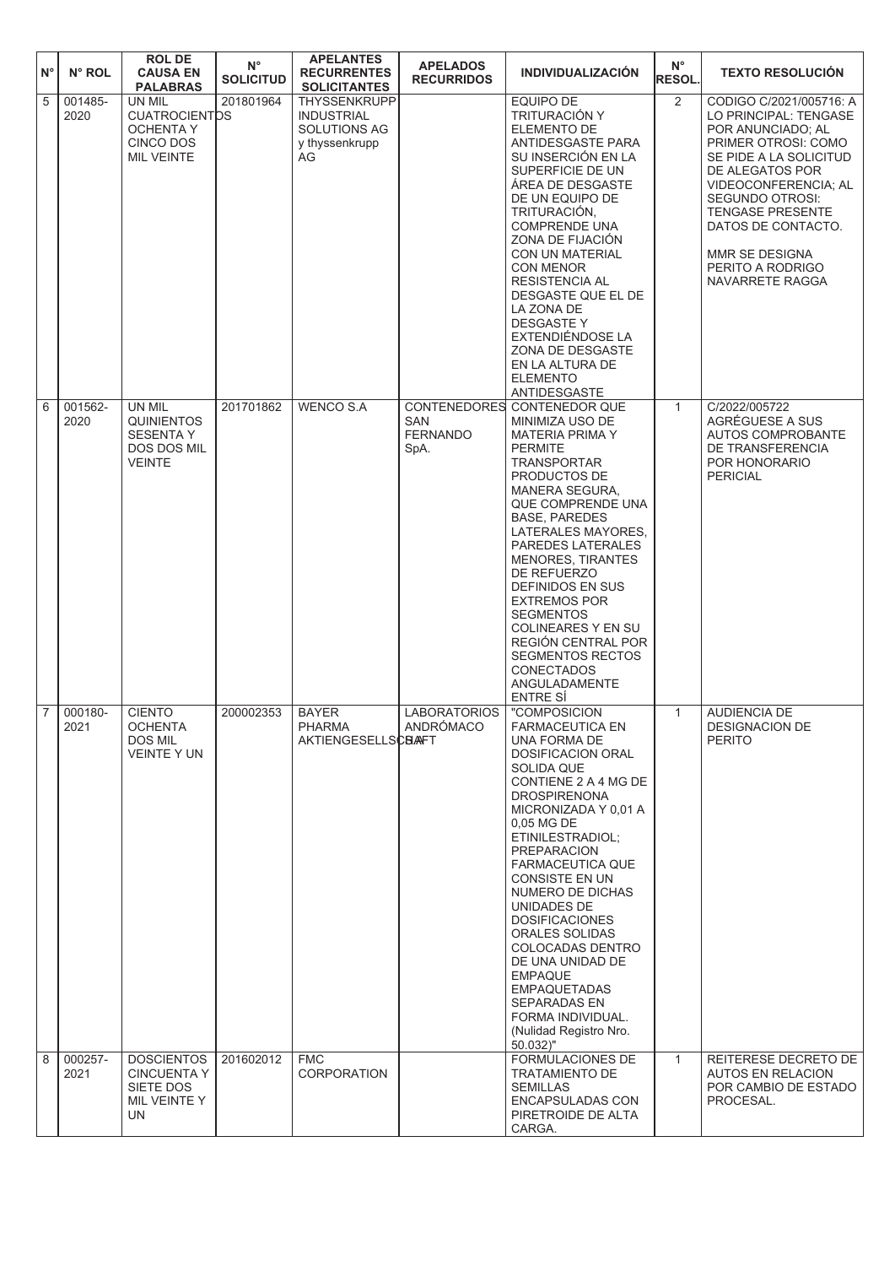| $N^{\circ}$    | N° ROL          | <b>ROLDE</b><br><b>CAUSA EN</b><br><b>PALABRAS</b>                                   | $N^{\circ}$<br><b>SOLICITUD</b> | <b>APELANTES</b><br><b>RECURRENTES</b><br><b>SOLICITANTES</b>                    | <b>APELADOS</b><br><b>RECURRIDOS</b>                         | <b>INDIVIDUALIZACIÓN</b>                                                                                                                                                                                                                                                                                                                                                                                                                                                                                        | $N^{\circ}$<br><b>RESOL.</b> | <b>TEXTO RESOLUCIÓN</b>                                                                                                                                                                                                                                                                               |
|----------------|-----------------|--------------------------------------------------------------------------------------|---------------------------------|----------------------------------------------------------------------------------|--------------------------------------------------------------|-----------------------------------------------------------------------------------------------------------------------------------------------------------------------------------------------------------------------------------------------------------------------------------------------------------------------------------------------------------------------------------------------------------------------------------------------------------------------------------------------------------------|------------------------------|-------------------------------------------------------------------------------------------------------------------------------------------------------------------------------------------------------------------------------------------------------------------------------------------------------|
| $\overline{5}$ | 001485-<br>2020 | UN MIL<br><b>CUATROCIENTDS</b><br><b>OCHENTA Y</b><br>CINCO DOS<br><b>MIL VEINTE</b> | 201801964                       | <b>THYSSENKRUPP</b><br><b>INDUSTRIAL</b><br>SOLUTIONS AG<br>y thyssenkrupp<br>AG |                                                              | <b>EQUIPO DE</b><br>TRITURACIÓN Y<br>ELEMENTO DE<br><b>ANTIDESGASTE PARA</b><br>SU INSERCIÓN EN LA<br>SUPERFICIE DE UN<br>ÁREA DE DESGASTE<br>DE UN EQUIPO DE<br>TRITURACIÓN,<br><b>COMPRENDE UNA</b><br>ZONA DE FIJACIÓN<br>CON UN MATERIAL<br><b>CON MENOR</b><br><b>RESISTENCIA AL</b><br>DESGASTE QUE EL DE<br>LA ZONA DE<br><b>DESGASTEY</b><br>EXTENDIÉNDOSE LA<br>ZONA DE DESGASTE<br>EN LA ALTURA DE<br><b>ELEMENTO</b><br>ANTIDESGASTE                                                                 | $\overline{2}$               | CODIGO C/2021/005716: A<br>LO PRINCIPAL: TENGASE<br>POR ANUNCIADO; AL<br>PRIMER OTROSI: COMO<br>SE PIDE A LA SOLICITUD<br>DE ALEGATOS POR<br>VIDEOCONFERENCIA; AL<br><b>SEGUNDO OTROSI:</b><br><b>TENGASE PRESENTE</b><br>DATOS DE CONTACTO.<br>MMR SE DESIGNA<br>PERITO A RODRIGO<br>NAVARRETE RAGGA |
| 6              | 001562-<br>2020 | UN MIL<br><b>QUINIENTOS</b><br><b>SESENTA Y</b><br>DOS DOS MIL<br><b>VEINTE</b>      | 201701862                       | <b>WENCO S.A</b>                                                                 | <b>CONTENEDORES</b><br><b>SAN</b><br><b>FERNANDO</b><br>SpA. | <b>CONTENEDOR QUE</b><br>MINIMIZA USO DE<br><b>MATERIA PRIMA Y</b><br><b>PERMITE</b><br><b>TRANSPORTAR</b><br>PRODUCTOS DE<br>MANERA SEGURA,<br><b>QUE COMPRENDE UNA</b><br><b>BASE, PAREDES</b><br>LATERALES MAYORES,<br>PAREDES LATERALES<br><b>MENORES, TIRANTES</b><br>DE REFUERZO<br>DEFINIDOS EN SUS<br><b>EXTREMOS POR</b><br><b>SEGMENTOS</b><br>COLINEARES Y EN SU<br>REGIÓN CENTRAL POR<br><b>SEGMENTOS RECTOS</b><br><b>CONECTADOS</b><br>ANGULADAMENTE<br>ENTRE SÍ                                  | $\mathbf{1}$                 | C/2022/005722<br>AGRÉGUESE A SUS<br>AUTOS COMPROBANTE<br>DE TRANSFERENCIA<br>POR HONORARIO<br><b>PERICIAL</b>                                                                                                                                                                                         |
| $\overline{7}$ | 000180-<br>2021 | <b>CIENTO</b><br><b>OCHENTA</b><br>DOS MIL<br><b>VEINTE Y UN</b>                     | 200002353                       | <b>BAYER</b><br>PHARMA<br><b>AKTIENGESELLSCBAFT</b>                              | <b>LABORATORIOS</b><br>ANDRÓMACO                             | "COMPOSICION<br><b>FARMACEUTICA EN</b><br>UNA FORMA DE<br><b>DOSIFICACION ORAL</b><br>SOLIDA QUE<br>CONTIENE 2 A 4 MG DE<br><b>DROSPIRENONA</b><br>MICRONIZADA Y 0,01 A<br>0,05 MG DE<br>ETINILESTRADIOL;<br><b>PREPARACION</b><br>FARMACEUTICA QUE<br>CONSISTE EN UN<br>NUMERO DE DICHAS<br>UNIDADES DE<br><b>DOSIFICACIONES</b><br>ORALES SOLIDAS<br>COLOCADAS DENTRO<br>DE UNA UNIDAD DE<br><b>EMPAQUE</b><br><b>EMPAQUETADAS</b><br>SEPARADAS EN<br>FORMA INDIVIDUAL.<br>(Nulidad Registro Nro.<br>50.032)" | $\mathbf{1}$                 | <b>AUDIENCIA DE</b><br><b>DESIGNACION DE</b><br><b>PERITO</b>                                                                                                                                                                                                                                         |
| $\overline{8}$ | 000257-<br>2021 | <b>DOSCIENTOS</b><br><b>CINCUENTA Y</b><br>SIETE DOS<br>MIL VEINTE Y<br>UN           | 201602012                       | <b>FMC</b><br>CORPORATION                                                        |                                                              | FORMULACIONES DE<br>TRATAMIENTO DE<br><b>SEMILLAS</b><br>ENCAPSULADAS CON<br>PIRETROIDE DE ALTA<br>CARGA.                                                                                                                                                                                                                                                                                                                                                                                                       | $\mathbf{1}$                 | REITERESE DECRETO DE<br>AUTOS EN RELACION<br>POR CAMBIO DE ESTADO<br>PROCESAL.                                                                                                                                                                                                                        |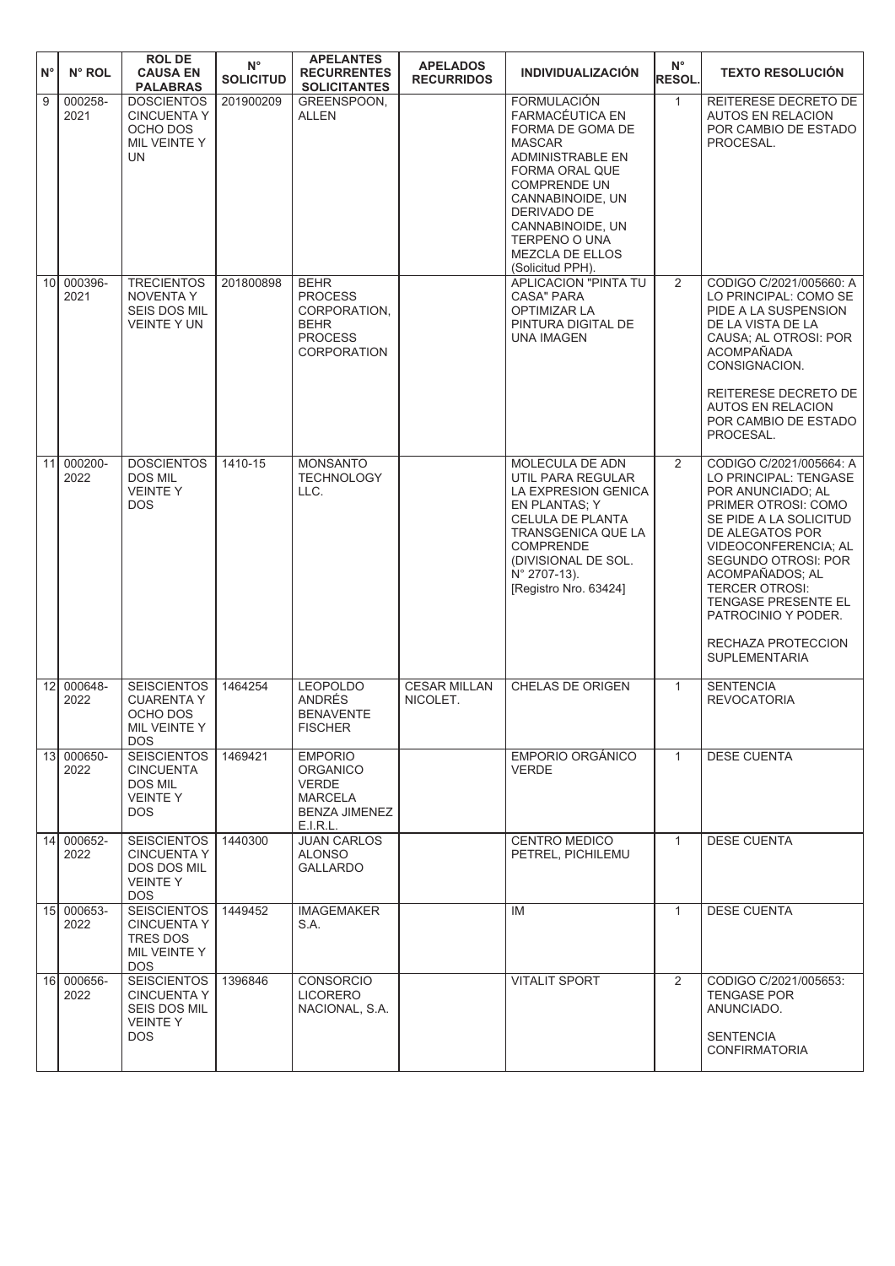| $N^{\circ}$     | N° ROL             | <b>ROL DE</b><br><b>CAUSA EN</b><br><b>PALABRAS</b>                                             | $N^{\circ}$<br><b>SOLICITUD</b> | <b>APELANTES</b><br><b>RECURRENTES</b><br><b>SOLICITANTES</b>                                           | <b>APELADOS</b><br><b>RECURRIDOS</b> | <b>INDIVIDUALIZACIÓN</b>                                                                                                                                                                                                                               | $N^{\circ}$<br><b>RESOL.</b> | <b>TEXTO RESOLUCIÓN</b>                                                                                                                                                                                                                                                                                                          |
|-----------------|--------------------|-------------------------------------------------------------------------------------------------|---------------------------------|---------------------------------------------------------------------------------------------------------|--------------------------------------|--------------------------------------------------------------------------------------------------------------------------------------------------------------------------------------------------------------------------------------------------------|------------------------------|----------------------------------------------------------------------------------------------------------------------------------------------------------------------------------------------------------------------------------------------------------------------------------------------------------------------------------|
| 9               | 000258-<br>2021    | <b>DOSCIENTOS</b><br><b>CINCUENTA Y</b><br>OCHO DOS<br>MIL VEINTE Y<br>UN                       | 201900209                       | GREENSPOON,<br><b>ALLEN</b>                                                                             |                                      | <b>FORMULACIÓN</b><br>FARMACÉUTICA EN<br>FORMA DE GOMA DE<br><b>MASCAR</b><br>ADMINISTRABLE EN<br>FORMA ORAL QUE<br><b>COMPRENDE UN</b><br>CANNABINOIDE, UN<br>DERIVADO DE<br>CANNABINOIDE, UN<br>TERPENO O UNA<br>MEZCLA DE ELLOS<br>(Solicitud PPH). | $\mathbf{1}$                 | REITERESE DECRETO DE<br><b>AUTOS EN RELACION</b><br>POR CAMBIO DE ESTADO<br>PROCESAL.                                                                                                                                                                                                                                            |
|                 | 10 000396-<br>2021 | <b>TRECIENTOS</b><br><b>NOVENTA Y</b><br><b>SEIS DOS MIL</b><br><b>VEINTE Y UN</b>              | 201800898                       | <b>BEHR</b><br><b>PROCESS</b><br>CORPORATION.<br><b>BEHR</b><br><b>PROCESS</b><br><b>CORPORATION</b>    |                                      | <b>APLICACION "PINTA TU</b><br>CASA" PARA<br><b>OPTIMIZAR LA</b><br>PINTURA DIGITAL DE<br><b>UNA IMAGEN</b>                                                                                                                                            | 2                            | CODIGO C/2021/005660: A<br>LO PRINCIPAL: COMO SE<br>PIDE A LA SUSPENSION<br>DE LA VISTA DE LA<br>CAUSA; AL OTROSI: POR<br><b>ACOMPAÑADA</b><br>CONSIGNACION.<br>REITERESE DECRETO DE<br><b>AUTOS EN RELACION</b><br>POR CAMBIO DE ESTADO<br>PROCESAL.                                                                            |
| 11              | 000200-<br>2022    | <b>DOSCIENTOS</b><br><b>DOS MIL</b><br><b>VEINTEY</b><br><b>DOS</b>                             | 1410-15                         | <b>MONSANTO</b><br><b>TECHNOLOGY</b><br>LLC.                                                            |                                      | MOLECULA DE ADN<br>UTIL PARA REGULAR<br>LA EXPRESION GENICA<br>EN PLANTAS; Y<br><b>CELULA DE PLANTA</b><br>TRANSGENICA QUE LA<br><b>COMPRENDE</b><br>(DIVISIONAL DE SOL.<br>N° 2707-13).<br>[Registro Nro. 63424]                                      | 2                            | CODIGO C/2021/005664: A<br>LO PRINCIPAL: TENGASE<br>POR ANUNCIADO; AL<br>PRIMER OTROSI: COMO<br>SE PIDE A LA SOLICITUD<br>DE ALEGATOS POR<br>VIDEOCONFERENCIA; AL<br>SEGUNDO OTROSI: POR<br>ACOMPAÑADOS; AL<br><b>TERCER OTROSI:</b><br>TENGASE PRESENTE EL<br>PATROCINIO Y PODER.<br>RECHAZA PROTECCION<br><b>SUPLEMENTARIA</b> |
| 12              | 000648-<br>2022    | <b>SEISCIENTOS</b><br><b>CUARENTA Y</b><br>OCHO DOS<br>MIL VEINTE Y<br><b>DOS</b>               | 1464254                         | <b>LEOPOLDO</b><br>ANDRÉS<br><b>BENAVENTE</b><br><b>FISCHER</b>                                         | <b>CESAR MILLAN</b><br>NICOLET.      | <b>CHELAS DE ORIGEN</b>                                                                                                                                                                                                                                | $\mathbf{1}$                 | <b>SENTENCIA</b><br><b>REVOCATORIA</b>                                                                                                                                                                                                                                                                                           |
|                 | 13 000650-<br>2022 | <b>SEISCIENTOS</b><br>CINCUENTA<br>DOS MIL<br><b>VEINTEY</b><br>DOS.                            | 1469421                         | <b>EMPORIO</b><br><b>ORGANICO</b><br><b>VERDE</b><br><b>MARCELA</b><br><b>BENZA JIMENEZ</b><br>E.I.R.L. |                                      | <b>EMPORIO ORGÁNICO</b><br><b>VERDE</b>                                                                                                                                                                                                                | $\mathbf{1}$                 | <b>DESE CUENTA</b>                                                                                                                                                                                                                                                                                                               |
| 14 <sup>1</sup> | 000652-<br>2022    | <b>SEISCIENTOS</b><br><b>CINCUENTA Y</b><br><b>DOS DOS MIL</b><br><b>VEINTE Y</b><br><b>DOS</b> | 1440300                         | <b>JUAN CARLOS</b><br><b>ALONSO</b><br><b>GALLARDO</b>                                                  |                                      | <b>CENTRO MEDICO</b><br>PETREL, PICHILEMU                                                                                                                                                                                                              | $\mathbf{1}$                 | <b>DESE CUENTA</b>                                                                                                                                                                                                                                                                                                               |
| 15              | 000653-<br>2022    | <b>SEISCIENTOS</b><br><b>CINCUENTA Y</b><br><b>TRES DOS</b><br>MIL VEINTE Y<br><b>DOS</b>       | 1449452                         | <b>IMAGEMAKER</b><br>S.A.                                                                               |                                      | IM                                                                                                                                                                                                                                                     | $\mathbf{1}$                 | <b>DESE CUENTA</b>                                                                                                                                                                                                                                                                                                               |
| 16 <sup>1</sup> | 000656-<br>2022    | <b>SEISCIENTOS</b><br><b>CINCUENTA Y</b><br><b>SEIS DOS MIL</b><br><b>VEINTEY</b><br><b>DOS</b> | 1396846                         | <b>CONSORCIO</b><br><b>LICORERO</b><br>NACIONAL, S.A.                                                   |                                      | <b>VITALIT SPORT</b>                                                                                                                                                                                                                                   | 2                            | CODIGO C/2021/005653:<br><b>TENGASE POR</b><br>ANUNCIADO.<br><b>SENTENCIA</b><br><b>CONFIRMATORIA</b>                                                                                                                                                                                                                            |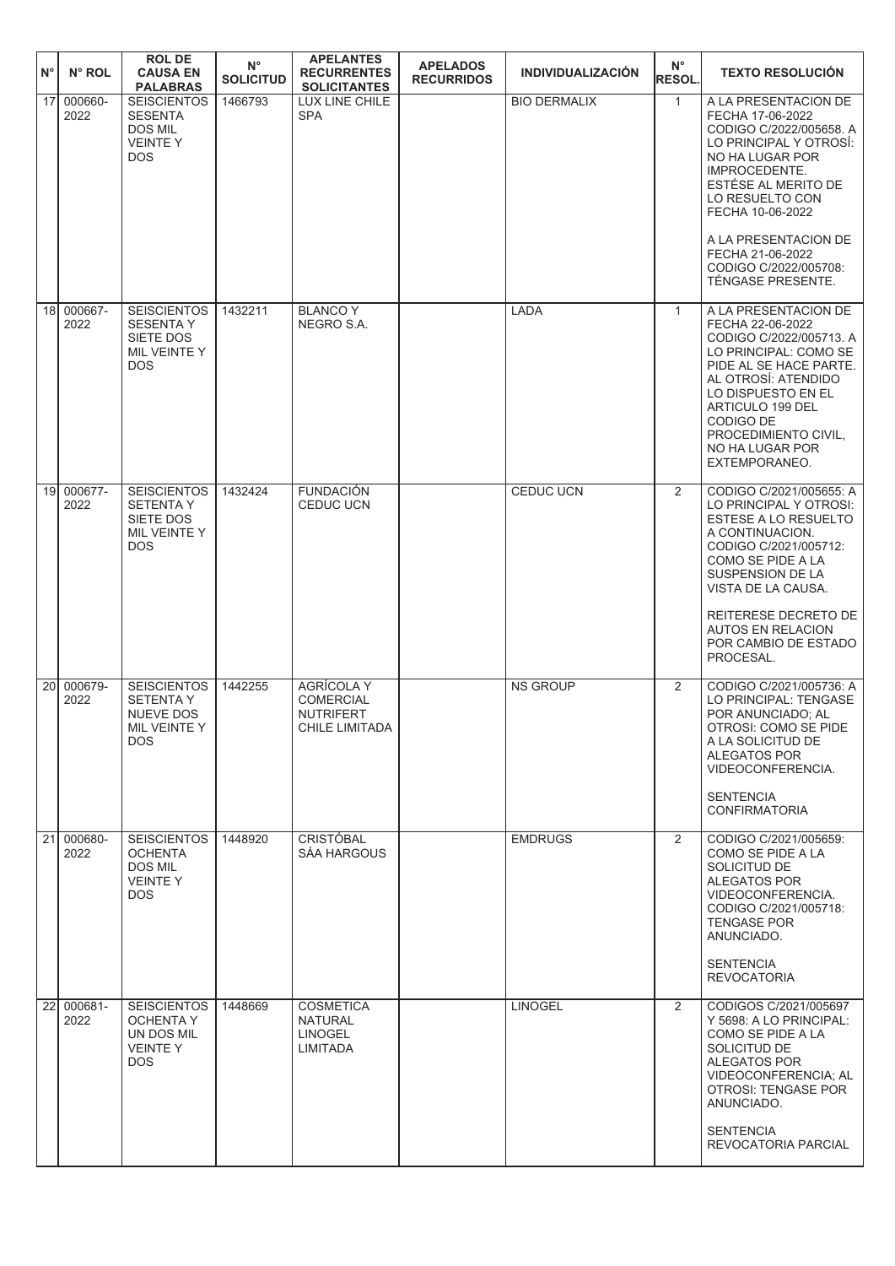| $N^{\circ}$ | N° ROL                             | <b>ROL DE</b><br><b>CAUSA EN</b><br><b>PALABRAS</b>                               | $N^{\circ}$<br><b>SOLICITUD</b> | <b>APELANTES</b><br><b>RECURRENTES</b><br><b>SOLICITANTES</b>               | <b>APELADOS</b><br><b>RECURRIDOS</b> | <b>INDIVIDUALIZACIÓN</b> | $N^{\circ}$<br><b>RESOL.</b> | <b>TEXTO RESOLUCIÓN</b>                                                                                                                                                                                                                                          |
|-------------|------------------------------------|-----------------------------------------------------------------------------------|---------------------------------|-----------------------------------------------------------------------------|--------------------------------------|--------------------------|------------------------------|------------------------------------------------------------------------------------------------------------------------------------------------------------------------------------------------------------------------------------------------------------------|
|             | 17<br>000660-<br>2022              | <b>SEISCIENTOS</b><br><b>SESENTA</b><br>DOS MIL<br><b>VEINTEY</b><br><b>DOS</b>   | 1466793                         | LUX LINE CHILE<br><b>SPA</b>                                                |                                      | <b>BIO DERMALIX</b>      | $\mathbf{1}$                 | A LA PRESENTACION DE<br>FECHA 17-06-2022<br>CODIGO C/2022/005658. A<br>LO PRINCIPAL Y OTROSI:<br>NO HA LUGAR POR<br>IMPROCEDENTE.<br>ESTÉSE AL MERITO DE<br>LO RESUELTO CON<br>FECHA 10-06-2022<br>A LA PRESENTACION DE<br>FECHA 21-06-2022                      |
|             |                                    |                                                                                   |                                 |                                                                             |                                      |                          |                              | CODIGO C/2022/005708:<br>TÉNGASE PRESENTE.                                                                                                                                                                                                                       |
|             | 18 000667-<br>2022                 | <b>SEISCIENTOS</b><br><b>SESENTA Y</b><br>SIETE DOS<br>MIL VEINTE Y<br><b>DOS</b> | 1432211                         | <b>BLANCO Y</b><br>NEGRO S.A.                                               |                                      | <b>LADA</b>              | $\mathbf{1}$                 | A LA PRESENTACION DE<br>FECHA 22-06-2022<br>CODIGO C/2022/005713. A<br>LO PRINCIPAL: COMO SE<br>PIDE AL SE HACE PARTE.<br>AL OTROSÍ: ATENDIDO<br>LO DISPUESTO EN EL<br>ARTICULO 199 DEL<br>CODIGO DE<br>PROCEDIMIENTO CIVIL,<br>NO HA LUGAR POR<br>EXTEMPORANEO. |
|             | 000677-<br>19 <sup>1</sup><br>2022 | <b>SEISCIENTOS</b><br><b>SETENTAY</b><br>SIETE DOS<br>MIL VEINTE Y<br><b>DOS</b>  | 1432424                         | <b>FUNDACIÓN</b><br><b>CEDUC UCN</b>                                        |                                      | CEDUC UCN                | 2                            | CODIGO C/2021/005655: A<br>LO PRINCIPAL Y OTROSI:<br>ESTESE A LO RESUELTO<br>A CONTINUACION.<br>CODIGO C/2021/005712:<br>COMO SE PIDE A LA<br>SUSPENSION DE LA<br>VISTA DE LA CAUSA.<br>REITERESE DECRETO DE<br><b>AUTOS EN RELACION</b><br>POR CAMBIO DE ESTADO |
|             |                                    |                                                                                   |                                 |                                                                             |                                      |                          |                              | PROCESAL.                                                                                                                                                                                                                                                        |
|             | 000679-<br>20<br>2022              | <b>SEISCIENTOS</b><br><b>SETENTAY</b><br>NUEVE DOS<br>MIL VEINTE Y<br>DOS.        | 1442255                         | <b>AGRÍCOLA Y</b><br><b>COMERCIAL</b><br><b>NUTRIFERT</b><br>CHILE LIMITADA |                                      | <b>NS GROUP</b>          | 2                            | CODIGO C/2021/005736: A<br>LO PRINCIPAL: TENGASE<br>POR ANUNCIADO; AL<br>OTROSI: COMO SE PIDE<br>A LA SOLICITUD DE<br>ALEGATOS POR<br>VIDEOCONFERENCIA.<br><b>SENTENCIA</b><br><b>CONFIRMATORIA</b>                                                              |
|             | 21<br>000680-<br>2022              | <b>SEISCIENTOS</b><br><b>OCHENTA</b><br>DOS MIL<br><b>VEINTE Y</b><br>DOS.        | 1448920                         | <b>CRISTÓBAL</b><br>SÁA HARGOUS                                             |                                      | <b>EMDRUGS</b>           | $\overline{2}$               | CODIGO C/2021/005659:<br>COMO SE PIDE A LA<br>SOLICITUD DE<br><b>ALEGATOS POR</b><br>VIDEOCONFERENCIA.<br>CODIGO C/2021/005718:<br><b>TENGASE POR</b><br>ANUNCIADO.<br><b>SENTENCIA</b><br><b>REVOCATORIA</b>                                                    |
|             | 22 000681-<br>2022                 | <b>SEISCIENTOS</b><br>OCHENTA Y<br>UN DOS MIL<br><b>VEINTEY</b><br>DOS.           | 1448669                         | <b>COSMETICA</b><br><b>NATURAL</b><br><b>LINOGEL</b><br><b>LIMITADA</b>     |                                      | <b>LINOGEL</b>           | 2                            | CODIGOS C/2021/005697<br>Y 5698: A LO PRINCIPAL:<br>COMO SE PIDE A LA<br>SOLICITUD DE<br>ALEGATOS POR<br>VIDEOCONFERENCIA; AL<br>OTROSI: TENGASE POR<br>ANUNCIADO.<br><b>SENTENCIA</b><br>REVOCATORIA PARCIAL                                                    |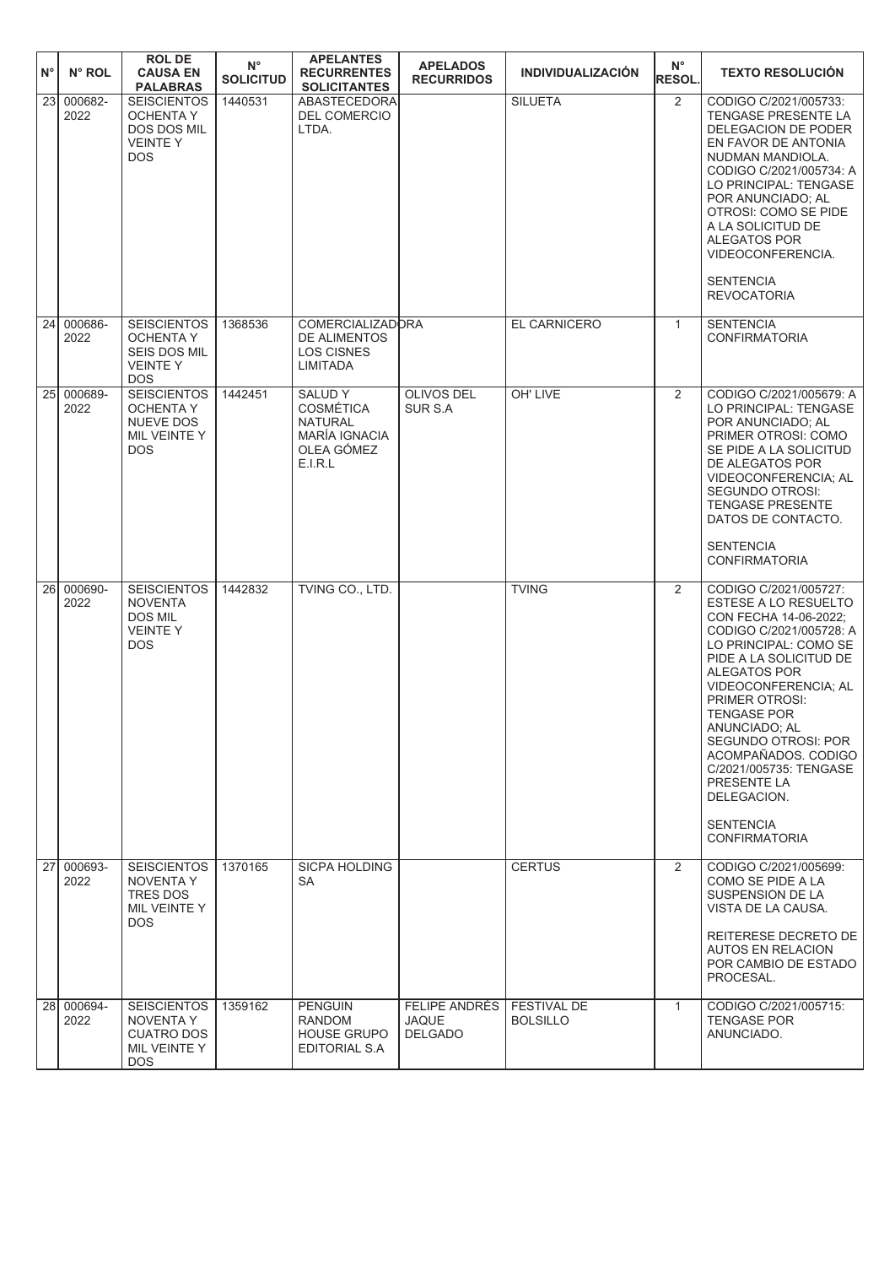| $N^{\circ}$ | N° ROL          | <b>ROL DE</b><br><b>CAUSA EN</b><br><b>PALABRAS</b>                                      | $N^{\circ}$<br><b>SOLICITUD</b> | <b>APELANTES</b><br><b>RECURRENTES</b><br><b>SOLICITANTES</b>                                 | <b>APELADOS</b><br><b>RECURRIDOS</b>                   | <b>INDIVIDUALIZACIÓN</b>              | $N^{\circ}$<br><b>RESOL.</b> | <b>TEXTO RESOLUCIÓN</b>                                                                                                                                                                                                                                                                                                                                                                                                      |
|-------------|-----------------|------------------------------------------------------------------------------------------|---------------------------------|-----------------------------------------------------------------------------------------------|--------------------------------------------------------|---------------------------------------|------------------------------|------------------------------------------------------------------------------------------------------------------------------------------------------------------------------------------------------------------------------------------------------------------------------------------------------------------------------------------------------------------------------------------------------------------------------|
| 23          | 000682-<br>2022 | <b>SEISCIENTOS</b><br><b>OCHENTA Y</b><br>DOS DOS MIL<br><b>VEINTEY</b><br><b>DOS</b>    | 1440531                         | <b>ABASTECEDORA</b><br>DEL COMERCIO<br>LTDA.                                                  |                                                        | <b>SILUETA</b>                        | $\overline{2}$               | CODIGO C/2021/005733:<br><b>TENGASE PRESENTE LA</b><br>DELEGACION DE PODER<br>EN FAVOR DE ANTONIA<br>NUDMAN MANDIOLA.<br>CODIGO C/2021/005734: A<br>LO PRINCIPAL: TENGASE<br>POR ANUNCIADO; AL<br><b>OTROSI: COMO SE PIDE</b><br>A LA SOLICITUD DE<br><b>ALEGATOS POR</b><br>VIDEOCONFERENCIA.<br><b>SENTENCIA</b><br><b>REVOCATORIA</b>                                                                                     |
| 24          | 000686-<br>2022 | <b>SEISCIENTOS</b><br><b>OCHENTA Y</b><br>SEIS DOS MIL<br><b>VEINTEY</b><br><b>DOS</b>   | 1368536                         | <b>COMERCIALIZADORA</b><br>DE ALIMENTOS<br><b>LOS CISNES</b><br><b>LIMITADA</b>               |                                                        | EL CARNICERO                          | $\mathbf{1}$                 | <b>SENTENCIA</b><br><b>CONFIRMATORIA</b>                                                                                                                                                                                                                                                                                                                                                                                     |
| 25I         | 000689-<br>2022 | <b>SEISCIENTOS</b><br><b>OCHENTA Y</b><br><b>NUEVE DOS</b><br>MIL VEINTE Y<br><b>DOS</b> | 1442451                         | <b>SALUDY</b><br><b>COSMÉTICA</b><br><b>NATURAL</b><br>MARÍA IGNACIA<br>OLEA GÓMEZ<br>E.I.R.L | <b>OLIVOS DEL</b><br>SUR S.A                           | OH' LIVE                              | $\overline{2}$               | CODIGO C/2021/005679: A<br>LO PRINCIPAL: TENGASE<br>POR ANUNCIADO; AL<br>PRIMER OTROSI: COMO<br>SE PIDE A LA SOLICITUD<br>DE ALEGATOS POR<br>VIDEOCONFERENCIA; AL<br>SEGUNDO OTROSI:<br><b>TENGASE PRESENTE</b><br>DATOS DE CONTACTO.<br><b>SENTENCIA</b><br><b>CONFIRMATORIA</b>                                                                                                                                            |
| 26          | 000690-<br>2022 | <b>SEISCIENTOS</b><br><b>NOVENTA</b><br>DOS MIL<br><b>VEINTEY</b><br><b>DOS</b>          | 1442832                         | TVING CO., LTD.                                                                               |                                                        | <b>TVING</b>                          | $\overline{2}$               | CODIGO C/2021/005727:<br><b>ESTESE A LO RESUELTO</b><br>CON FECHA 14-06-2022;<br>CODIGO C/2021/005728: A<br>LO PRINCIPAL: COMO SE<br>PIDE A LA SOLICITUD DE<br><b>ALEGATOS POR</b><br>VIDEOCONFERENCIA; AL<br>PRIMER OTROSI:<br><b>TENGASE POR</b><br>ANUNCIADO; AL<br><b>SEGUNDO OTROSI: POR</b><br>ACOMPAÑADOS, CODIGO<br>C/2021/005735: TENGASE<br>PRESENTE LA<br>DELEGACION.<br><b>SENTENCIA</b><br><b>CONFIRMATORIA</b> |
| 27I         | 000693-<br>2022 | <b>SEISCIENTOS</b><br><b>NOVENTA Y</b><br>TRES DOS<br>MIL VEINTE Y<br>DOS.               | 1370165                         | <b>SICPA HOLDING</b><br>SA                                                                    |                                                        | <b>CERTUS</b>                         | $\overline{2}$               | CODIGO C/2021/005699:<br>COMO SE PIDE A LA<br>SUSPENSION DE LA<br>VISTA DE LA CAUSA.<br>REITERESE DECRETO DE<br><b>AUTOS EN RELACION</b><br>POR CAMBIO DE ESTADO<br>PROCESAL.                                                                                                                                                                                                                                                |
| 28I         | 000694-<br>2022 | <b>SEISCIENTOS</b><br>NOVENTA Y<br><b>CUATRO DOS</b><br>MIL VEINTE Y<br>DOS.             | 1359162                         | <b>PENGUIN</b><br><b>RANDOM</b><br><b>HOUSE GRUPO</b><br>EDITORIAL S.A                        | <b>FELIPE ANDRÉS</b><br><b>JAQUE</b><br><b>DELGADO</b> | <b>FESTIVAL DE</b><br><b>BOLSILLO</b> | $\mathbf{1}$                 | CODIGO C/2021/005715:<br><b>TENGASE POR</b><br>ANUNCIADO.                                                                                                                                                                                                                                                                                                                                                                    |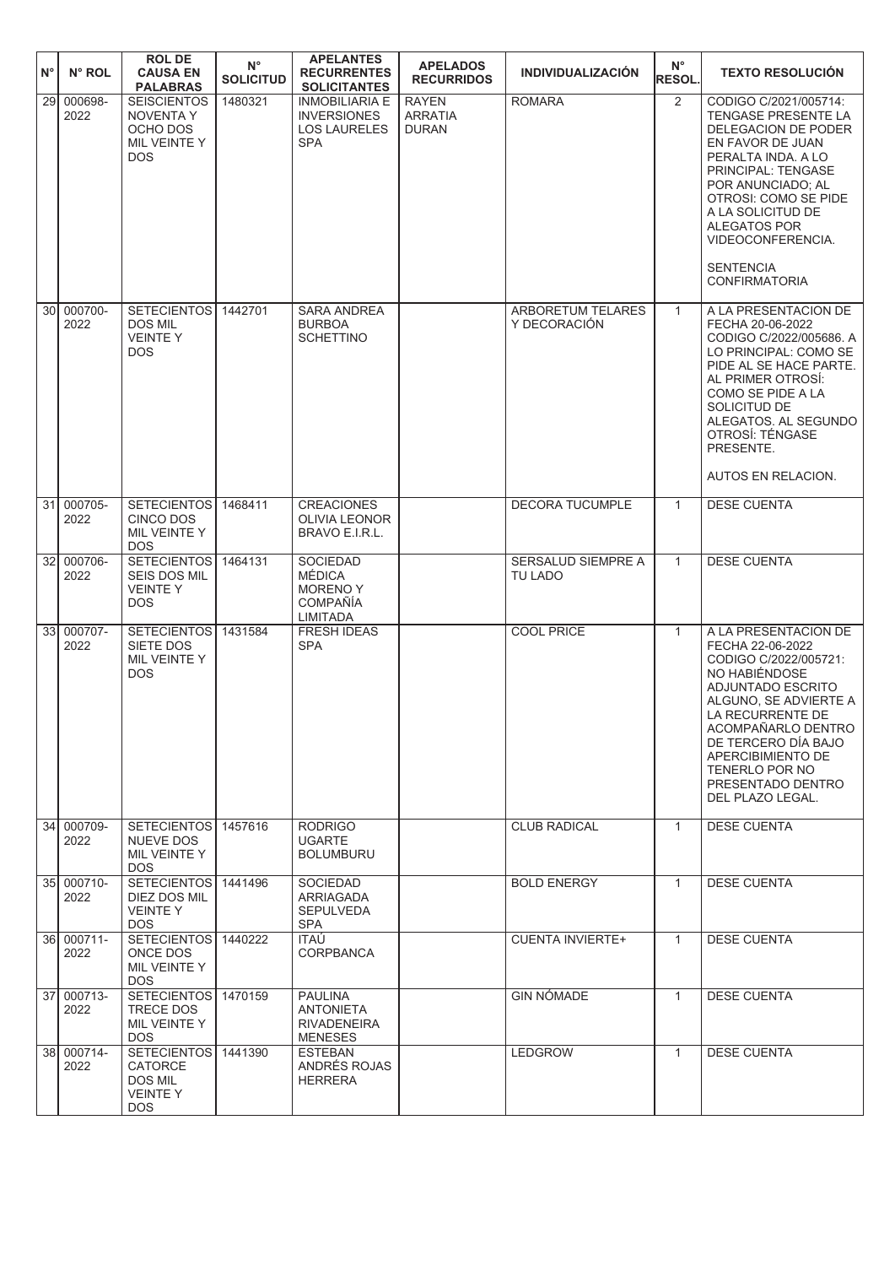| $N^{\circ}$     | N° ROL             | <b>ROL DE</b><br><b>CAUSA EN</b><br><b>PALABRAS</b>                                     | $\mathsf{N}^\circ$<br><b>SOLICITUD</b> | <b>APELANTES</b><br><b>RECURRENTES</b><br><b>SOLICITANTES</b>                    | <b>APELADOS</b><br><b>RECURRIDOS</b>           | <b>INDIVIDUALIZACIÓN</b>                 | $N^{\circ}$<br><b>RESOL.</b> | <b>TEXTO RESOLUCIÓN</b>                                                                                                                                                                                                                                                                       |
|-----------------|--------------------|-----------------------------------------------------------------------------------------|----------------------------------------|----------------------------------------------------------------------------------|------------------------------------------------|------------------------------------------|------------------------------|-----------------------------------------------------------------------------------------------------------------------------------------------------------------------------------------------------------------------------------------------------------------------------------------------|
| $\overline{29}$ | 000698-<br>2022    | <b>SEISCIENTOS</b><br><b>NOVENTAY</b><br>OCHO DOS<br>MIL VEINTE Y<br><b>DOS</b>         | 1480321                                | <b>INMOBILIARIA E</b><br><b>INVERSIONES</b><br><b>LOS LAURELES</b><br><b>SPA</b> | <b>RAYEN</b><br><b>ARRATIA</b><br><b>DURAN</b> | <b>ROMARA</b>                            | $\overline{2}$               | CODIGO C/2021/005714:<br>TENGASE PRESENTE LA<br>DELEGACION DE PODER<br>EN FAVOR DE JUAN<br>PERALTA INDA. A LO<br>PRINCIPAL: TENGASE<br>POR ANUNCIADO; AL<br>OTROSI: COMO SE PIDE<br>A LA SOLICITUD DE<br><b>ALEGATOS POR</b><br>VIDEOCONFERENCIA.<br><b>SENTENCIA</b><br><b>CONFIRMATORIA</b> |
|                 | 30 000700-<br>2022 | <b>SETECIENTOS</b><br><b>DOS MIL</b><br><b>VEINTEY</b><br><b>DOS</b>                    | 1442701                                | <b>SARA ANDREA</b><br><b>BURBOA</b><br><b>SCHETTINO</b>                          |                                                | <b>ARBORETUM TELARES</b><br>Y DECORACIÓN | $\mathbf{1}$                 | A LA PRESENTACION DE<br>FECHA 20-06-2022<br>CODIGO C/2022/005686. A<br>LO PRINCIPAL: COMO SE<br>PIDE AL SE HACE PARTE.<br>AL PRIMER OTROSI:<br>COMO SE PIDE A LA<br>SOLICITUD DE<br>ALEGATOS. AL SEGUNDO<br>OTROSÍ: TÉNGASE<br>PRESENTE.<br>AUTOS EN RELACION.                                |
| 31              | 000705-<br>2022    | <b>SETECIENTOS</b><br><b>CINCO DOS</b><br>MIL VEINTE Y<br><b>DOS</b>                    | 1468411                                | <b>CREACIONES</b><br><b>OLIVIA LEONOR</b><br>BRAVO E.I.R.L.                      |                                                | <b>DECORA TUCUMPLE</b>                   | $\mathbf{1}$                 | <b>DESE CUENTA</b>                                                                                                                                                                                                                                                                            |
|                 | 32 000706-<br>2022 | <b>SETECIENTOS</b><br>SEIS DOS MIL<br><b>VEINTEY</b><br><b>DOS</b>                      | 1464131                                | <b>SOCIEDAD</b><br>MÉDICA<br><b>MORENOY</b><br><b>COMPAÑÍA</b><br>LIMITADA       |                                                | SERSALUD SIEMPRE A<br><b>TU LADO</b>     | $\mathbf{1}$                 | <b>DESE CUENTA</b>                                                                                                                                                                                                                                                                            |
| 33              | 000707-<br>2022    | <b>SETECIENTOS</b><br>SIETE DOS<br>MIL VEINTE Y<br><b>DOS</b>                           | 1431584                                | <b>FRESH IDEAS</b><br><b>SPA</b>                                                 |                                                | <b>COOL PRICE</b>                        | $\mathbf{1}$                 | A LA PRESENTACION DE<br>FECHA 22-06-2022<br>CODIGO C/2022/005721:<br>NO HABIÉNDOSE<br>ADJUNTADO ESCRITO<br>ALGUNO, SE ADVIERTE A<br>LA RECURRENTE DE<br>ACOMPANARLO DENTRO<br>DE TERCERO DÍA BAJO<br><b>APERCIBIMIENTO DE</b><br>TENERLO POR NO<br>PRESENTADO DENTRO<br>DEL PLAZO LEGAL.      |
|                 | 34 000709-<br>2022 | SETECIENTOS 1457616<br>NUEVE DOS<br>MIL VEINTE Y<br><b>DOS</b>                          |                                        | <b>RODRIGO</b><br><b>UGARTE</b><br><b>BOLUMBURU</b>                              |                                                | <b>CLUB RADICAL</b>                      | $\mathbf{1}$                 | <b>DESE CUENTA</b>                                                                                                                                                                                                                                                                            |
|                 | 35 000710-<br>2022 | <b>SETECIENTOS</b><br>DIEZ DOS MIL<br><b>VEINTEY</b><br>DOS.                            | 1441496                                | <b>SOCIEDAD</b><br>ARRIAGADA<br><b>SEPULVEDA</b><br>SPA                          |                                                | <b>BOLD ENERGY</b>                       | $\mathbf{1}$                 | <b>DESE CUENTA</b>                                                                                                                                                                                                                                                                            |
|                 | 36 000711-<br>2022 | SETECIENTOS 1440222<br>ONCE DOS<br>MIL VEINTE Y<br><b>DOS</b>                           |                                        | ITAÚ<br><b>CORPBANCA</b>                                                         |                                                | <b>CUENTA INVIERTE+</b>                  | $\mathbf{1}$                 | <b>DESE CUENTA</b>                                                                                                                                                                                                                                                                            |
|                 | 37 000713-<br>2022 | SETECIENTOS 1470159<br>TRECE DOS<br>MIL VEINTE Y<br><b>DOS</b>                          |                                        | <b>PAULINA</b><br><b>ANTONIETA</b><br><b>RIVADENEIRA</b><br><b>MENESES</b>       |                                                | <b>GIN NÓMADE</b>                        | $\mathbf{1}$                 | <b>DESE CUENTA</b>                                                                                                                                                                                                                                                                            |
|                 | 38 000714-<br>2022 | SETECIENTOS 1441390<br><b>CATORCE</b><br><b>DOS MIL</b><br><b>VEINTEY</b><br><b>DOS</b> |                                        | <b>ESTEBAN</b><br>ANDRÉS ROJAS<br><b>HERRERA</b>                                 |                                                | LEDGROW                                  | $\mathbf{1}$                 | <b>DESE CUENTA</b>                                                                                                                                                                                                                                                                            |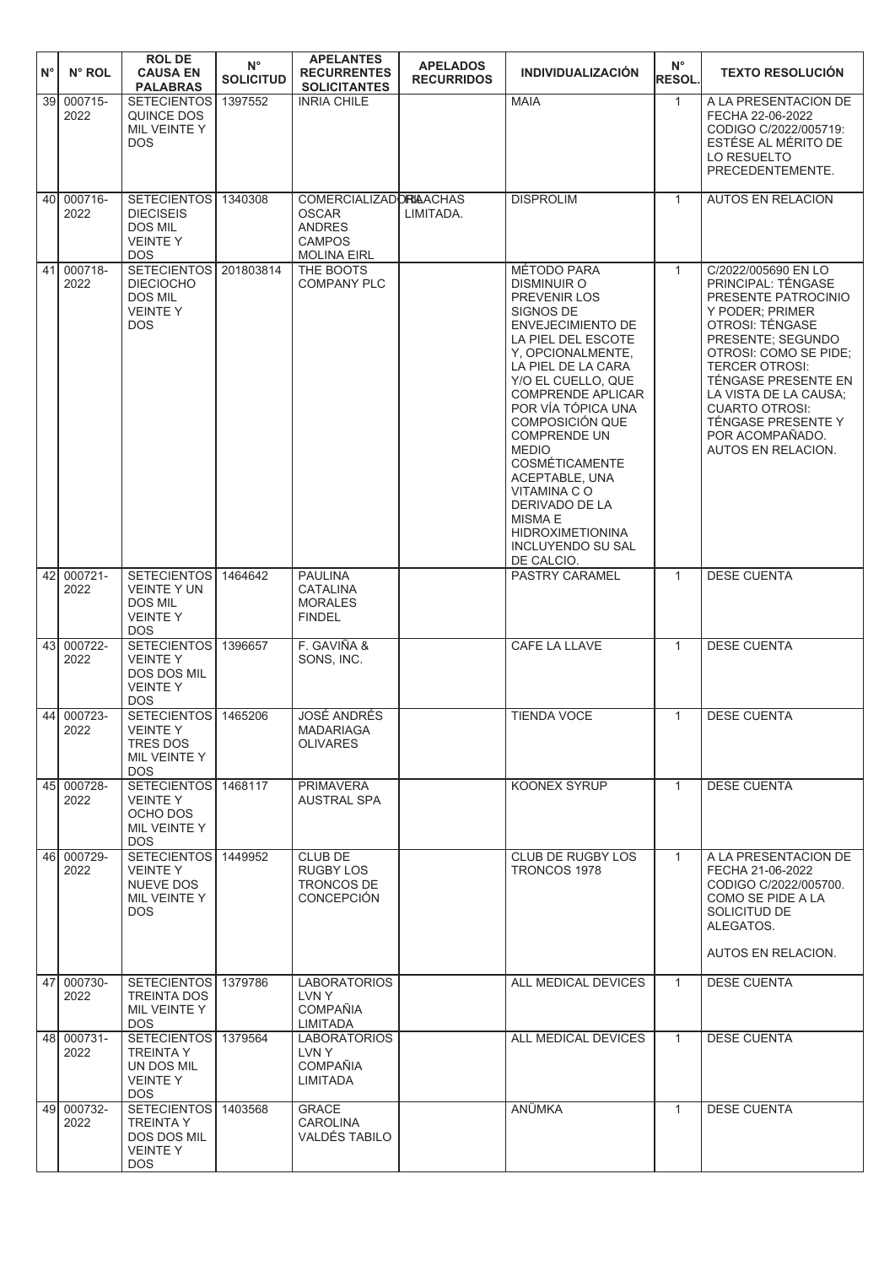| $N^{\circ}$ | N° ROL             | <b>ROL DE</b><br><b>CAUSA EN</b><br><b>PALABRAS</b>                                         | $N^{\circ}$<br><b>SOLICITUD</b> | <b>APELANTES</b><br><b>RECURRENTES</b><br><b>SOLICITANTES</b>                                         | <b>APELADOS</b><br><b>RECURRIDOS</b> | <b>INDIVIDUALIZACIÓN</b>                                                                                                                                                                                                                                                                                                                                                                                                                                         | $N^{\circ}$<br><b>RESOL.</b> | <b>TEXTO RESOLUCIÓN</b>                                                                                                                                                                                                                                                                                                      |
|-------------|--------------------|---------------------------------------------------------------------------------------------|---------------------------------|-------------------------------------------------------------------------------------------------------|--------------------------------------|------------------------------------------------------------------------------------------------------------------------------------------------------------------------------------------------------------------------------------------------------------------------------------------------------------------------------------------------------------------------------------------------------------------------------------------------------------------|------------------------------|------------------------------------------------------------------------------------------------------------------------------------------------------------------------------------------------------------------------------------------------------------------------------------------------------------------------------|
| 39I         | 000715-<br>2022    | <b>SETECIENTOS</b><br>QUINCE DOS<br>MIL VEINTE Y<br><b>DOS</b>                              | 1397552                         | <b>INRIA CHILE</b>                                                                                    |                                      | <b>MAIA</b>                                                                                                                                                                                                                                                                                                                                                                                                                                                      | $\mathbf{1}$                 | A LA PRESENTACION DE<br>FECHA 22-06-2022<br>CODIGO C/2022/005719:<br>ESTÉSE AL MÉRITO DE<br>LO RESUELTO<br>PRECEDENTEMENTE.                                                                                                                                                                                                  |
| 40I         | 000716-<br>2022    | <b>SETECIENTOS</b><br><b>DIECISEIS</b><br><b>DOS MIL</b><br><b>VEINTEY</b><br><b>DOS</b>    | 1340308                         | <b>COMERCIALIZADORIAACHAS</b><br><b>OSCAR</b><br><b>ANDRES</b><br><b>CAMPOS</b><br><b>MOLINA EIRL</b> | LIMITADA.                            | <b>DISPROLIM</b>                                                                                                                                                                                                                                                                                                                                                                                                                                                 | $\mathbf{1}$                 | <b>AUTOS EN RELACION</b>                                                                                                                                                                                                                                                                                                     |
|             | 41 000718-<br>2022 | SETECIENTOS 201803814<br><b>DIECIOCHO</b><br><b>DOS MIL</b><br><b>VEINTEY</b><br><b>DOS</b> |                                 | THE BOOTS<br><b>COMPANY PLC</b>                                                                       |                                      | MÉTODO PARA<br>DISMINUIR O<br>PREVENIR LOS<br>SIGNOS DE<br><b>ENVEJECIMIENTO DE</b><br>LA PIEL DEL ESCOTE<br>Y, OPCIONALMENTE,<br>LA PIEL DE LA CARA<br>Y/O EL CUELLO, QUE<br><b>COMPRENDE APLICAR</b><br>POR VÍA TÓPICA UNA<br>COMPOSICIÓN QUE<br><b>COMPRENDE UN</b><br><b>MEDIO</b><br><b>COSMÉTICAMENTE</b><br>ACEPTABLE, UNA<br><b>VITAMINA CO</b><br>DERIVADO DE LA<br><b>MISMA E</b><br><b>HIDROXIMETIONINA</b><br><b>INCLUYENDO SU SAL</b><br>DE CALCIO. | $\mathbf{1}$                 | C/2022/005690 EN LO<br>PRINCIPAL: TÉNGASE<br>PRESENTE PATROCINIO<br>Y PODER; PRIMER<br>OTROSI: TÉNGASE<br>PRESENTE; SEGUNDO<br>OTROSI: COMO SE PIDE;<br><b>TERCER OTROSI:</b><br>TÉNGASE PRESENTE EN<br>LA VISTA DE LA CAUSA:<br><b>CUARTO OTROSI:</b><br><b>TÉNGASE PRESENTE Y</b><br>POR ACOMPAÑADO.<br>AUTOS EN RELACION. |
| 42          | 000721-<br>2022    | SETECIENTOS 1464642<br><b>VEINTE Y UN</b><br><b>DOS MIL</b><br><b>VEINTEY</b><br><b>DOS</b> |                                 | <b>PAULINA</b><br><b>CATALINA</b><br><b>MORALES</b><br><b>FINDEL</b>                                  |                                      | PASTRY CARAMEL                                                                                                                                                                                                                                                                                                                                                                                                                                                   | $\mathbf{1}$                 | <b>DESE CUENTA</b>                                                                                                                                                                                                                                                                                                           |
| 43          | 000722-<br>2022    | SETECIENTOS<br><b>VEINTEY</b><br>DOS DOS MIL<br><b>VEINTEY</b><br><b>DOS</b>                | 1396657                         | F. GAVIÑA &<br>SONS, INC.                                                                             |                                      | CAFE LA LLAVE                                                                                                                                                                                                                                                                                                                                                                                                                                                    | $\mathbf{1}$                 | <b>DESE CUENTA</b>                                                                                                                                                                                                                                                                                                           |
|             | 44 000723-<br>2022 | SETECIENTOS 1465206<br>VEINTE Y<br>TRES DOS<br>MIL VEINTE Y<br><b>DOS</b>                   |                                 | <b>JOSÉ ANDRÉS</b><br>MADARIAGA<br><b>OLIVARES</b>                                                    |                                      | <b>TIENDA VOCE</b>                                                                                                                                                                                                                                                                                                                                                                                                                                               | $\mathbf{1}$                 | <b>DESE CUENTA</b>                                                                                                                                                                                                                                                                                                           |
|             | 45 000728-<br>2022 | SETECIENTOS 1468117<br><b>VEINTEY</b><br>OCHO DOS<br>MIL VEINTE Y<br><b>DOS</b>             |                                 | <b>PRIMAVERA</b><br>AUSTRAL SPA                                                                       |                                      | KOONEX SYRUP                                                                                                                                                                                                                                                                                                                                                                                                                                                     | $\mathbf{1}$                 | <b>DESE CUENTA</b>                                                                                                                                                                                                                                                                                                           |
|             | 46 000729-<br>2022 | SETECIENTOS 1449952<br><b>VEINTEY</b><br>NUEVE DOS<br>MIL VEINTE Y<br><b>DOS</b>            |                                 | CLUB DE<br>RUGBY LOS<br>TRONCOS DE<br><b>CONCEPCIÓN</b>                                               |                                      | CLUB DE RUGBY LOS<br>TRONCOS 1978                                                                                                                                                                                                                                                                                                                                                                                                                                | $\mathbf{1}$                 | A LA PRESENTACION DE<br>FECHA 21-06-2022<br>CODIGO C/2022/005700.<br>COMO SE PIDE A LA<br>SOLICITUD DE<br>ALEGATOS.<br>AUTOS EN RELACION.                                                                                                                                                                                    |
| 47          | 000730-<br>2022    | SETECIENTOS 1379786<br><b>TREINTA DOS</b><br>MIL VEINTE Y<br><b>DOS</b>                     |                                 | <b>LABORATORIOS</b><br>LVN Y<br><b>COMPAÑIA</b><br>LIMITADA                                           |                                      | ALL MEDICAL DEVICES                                                                                                                                                                                                                                                                                                                                                                                                                                              | $\mathbf{1}$                 | <b>DESE CUENTA</b>                                                                                                                                                                                                                                                                                                           |
|             | 48 000731-<br>2022 | SETECIENTOS 1379564<br><b>TREINTA Y</b><br>UN DOS MIL<br><b>VEINTEY</b><br><b>DOS</b>       |                                 | <b>LABORATORIOS</b><br>LVN Y<br><b>COMPAÑIA</b><br>LIMITADA                                           |                                      | ALL MEDICAL DEVICES                                                                                                                                                                                                                                                                                                                                                                                                                                              | $\mathbf{1}$                 | <b>DESE CUENTA</b>                                                                                                                                                                                                                                                                                                           |
|             | 49 000732-<br>2022 | SETECIENTOS 1403568<br><b>TREINTA Y</b><br>DOS DOS MIL<br><b>VEINTEY</b><br><b>DOS</b>      |                                 | GRACE<br><b>CAROLINA</b><br><b>VALDÉS TABILO</b>                                                      |                                      | ANÜMKA                                                                                                                                                                                                                                                                                                                                                                                                                                                           | $\mathbf{1}$                 | <b>DESE CUENTA</b>                                                                                                                                                                                                                                                                                                           |